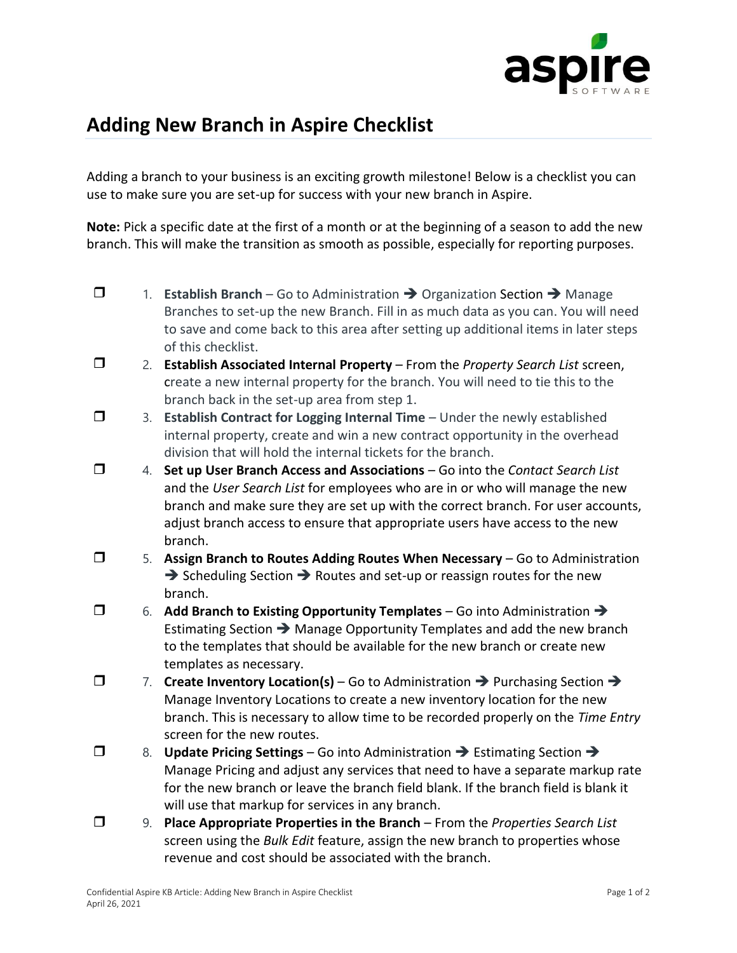

## **Adding New Branch in Aspire Checklist**

Adding a branch to your business is an exciting growth milestone! Below is a checklist you can use to make sure you are set-up for success with your new branch in Aspire.

**Note:** Pick a specific date at the first of a month or at the beginning of a season to add the new branch. This will make the transition as smooth as possible, especially for reporting purposes.

- 1. **Establish Branch** Go to Administration ➔ Organization Section ➔ Manage Branches to set-up the new Branch. Fill in as much data as you can. You will need to save and come back to this area after setting up additional items in later steps of this checklist.
- 2. **Establish Associated Internal Property** From the *Property Search List* screen, create a new internal property for the branch. You will need to tie this to the branch back in the set-up area from step 1.
- 3. **Establish Contract for Logging Internal Time** Under the newly established internal property, create and win a new contract opportunity in the overhead division that will hold the internal tickets for the branch.
- 4. **Set up User Branch Access and Associations** Go into the *Contact Search List* and the *User Search List* for employees who are in or who will manage the new branch and make sure they are set up with the correct branch. For user accounts, adjust branch access to ensure that appropriate users have access to the new branch.
- 5. **Assign Branch to Routes Adding Routes When Necessary** Go to Administration ➔ Scheduling Section ➔ Routes and set-up or reassign routes for the new branch.
- 6. **Add Branch to Existing Opportunity Templates** Go into Administration ➔ Estimating Section ➔ Manage Opportunity Templates and add the new branch to the templates that should be available for the new branch or create new templates as necessary.
- 7. **Create Inventory Location(s)** Go to Administration ➔ Purchasing Section ➔ Manage Inventory Locations to create a new inventory location for the new branch. This is necessary to allow time to be recorded properly on the *Time Entry* screen for the new routes.
- 8. **Update Pricing Settings** Go into Administration ➔ Estimating Section ➔ Manage Pricing and adjust any services that need to have a separate markup rate for the new branch or leave the branch field blank. If the branch field is blank it will use that markup for services in any branch.
- 9. **Place Appropriate Properties in the Branch** From the *Properties Search List* screen using the *Bulk Edit* feature, assign the new branch to properties whose revenue and cost should be associated with the branch.